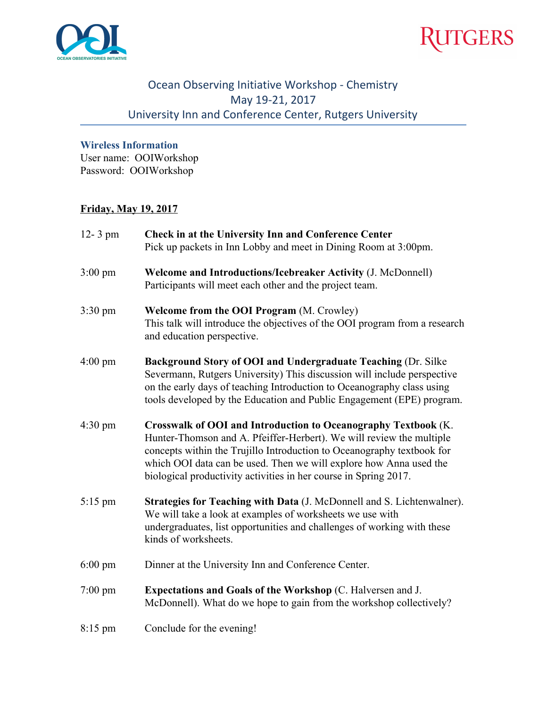



## Ocean Observing Initiative Workshop - Chemistry May 19-21, 2017 University Inn and Conference Center, Rutgers University

## **Wireless Information**

User name: OOIWorkshop Password: OOIWorkshop

## **Friday, May 19, 2017**

| $12 - 3$ pm       | <b>Check in at the University Inn and Conference Center</b><br>Pick up packets in Inn Lobby and meet in Dining Room at 3:00pm.                                                                                                                                                                                                                             |
|-------------------|------------------------------------------------------------------------------------------------------------------------------------------------------------------------------------------------------------------------------------------------------------------------------------------------------------------------------------------------------------|
| $3:00 \text{ pm}$ | Welcome and Introductions/Icebreaker Activity (J. McDonnell)<br>Participants will meet each other and the project team.                                                                                                                                                                                                                                    |
| $3:30 \text{ pm}$ | <b>Welcome from the OOI Program (M. Crowley)</b><br>This talk will introduce the objectives of the OOI program from a research<br>and education perspective.                                                                                                                                                                                               |
| $4:00 \text{ pm}$ | Background Story of OOI and Undergraduate Teaching (Dr. Silke<br>Severmann, Rutgers University) This discussion will include perspective<br>on the early days of teaching Introduction to Oceanography class using<br>tools developed by the Education and Public Engagement (EPE) program.                                                                |
| $4:30 \text{ pm}$ | Crosswalk of OOI and Introduction to Oceanography Textbook (K.<br>Hunter-Thomson and A. Pfeiffer-Herbert). We will review the multiple<br>concepts within the Trujillo Introduction to Oceanography textbook for<br>which OOI data can be used. Then we will explore how Anna used the<br>biological productivity activities in her course in Spring 2017. |
| $5:15$ pm         | Strategies for Teaching with Data (J. McDonnell and S. Lichtenwalner).<br>We will take a look at examples of worksheets we use with<br>undergraduates, list opportunities and challenges of working with these<br>kinds of worksheets.                                                                                                                     |
| $6:00 \text{ pm}$ | Dinner at the University Inn and Conference Center.                                                                                                                                                                                                                                                                                                        |
| $7:00 \text{ pm}$ | <b>Expectations and Goals of the Workshop (C. Halversen and J.</b><br>McDonnell). What do we hope to gain from the workshop collectively?                                                                                                                                                                                                                  |
| $8:15$ pm         | Conclude for the evening!                                                                                                                                                                                                                                                                                                                                  |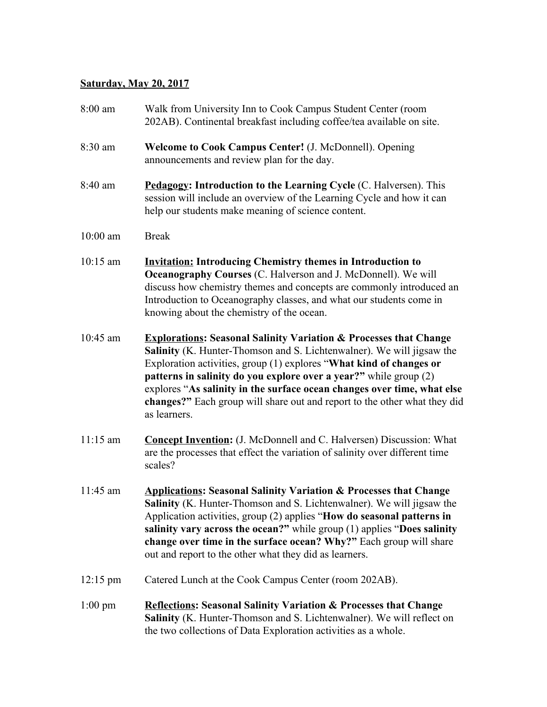# **Saturday, May 20, 2017**

| 8:00 am            | Walk from University Inn to Cook Campus Student Center (room<br>202AB). Continental breakfast including coffee/tea available on site.                                                                                                                                                                                                                                                                                                                                     |
|--------------------|---------------------------------------------------------------------------------------------------------------------------------------------------------------------------------------------------------------------------------------------------------------------------------------------------------------------------------------------------------------------------------------------------------------------------------------------------------------------------|
| 8:30 am            | Welcome to Cook Campus Center! (J. McDonnell). Opening<br>announcements and review plan for the day.                                                                                                                                                                                                                                                                                                                                                                      |
| 8:40 am            | Pedagogy: Introduction to the Learning Cycle (C. Halversen). This<br>session will include an overview of the Learning Cycle and how it can<br>help our students make meaning of science content.                                                                                                                                                                                                                                                                          |
| $10:00$ am         | <b>Break</b>                                                                                                                                                                                                                                                                                                                                                                                                                                                              |
| $10:15$ am         | <b>Invitation: Introducing Chemistry themes in Introduction to</b><br><b>Oceanography Courses (C. Halverson and J. McDonnell). We will</b><br>discuss how chemistry themes and concepts are commonly introduced an<br>Introduction to Oceanography classes, and what our students come in<br>knowing about the chemistry of the ocean.                                                                                                                                    |
| $10:45$ am         | <b>Explorations: Seasonal Salinity Variation &amp; Processes that Change</b><br>Salinity (K. Hunter-Thomson and S. Lichtenwalner). We will jigsaw the<br>Exploration activities, group (1) explores "What kind of changes or<br>patterns in salinity do you explore over a year?" while group (2)<br>explores "As salinity in the surface ocean changes over time, what else<br>changes?" Each group will share out and report to the other what they did<br>as learners. |
| $11:15$ am         | <b>Concept Invention:</b> (J. McDonnell and C. Halversen) Discussion: What<br>are the processes that effect the variation of salinity over different time<br>scales?                                                                                                                                                                                                                                                                                                      |
| 11:45 am           | <b>Applications: Seasonal Salinity Variation &amp; Processes that Change</b><br>Salinity (K. Hunter-Thomson and S. Lichtenwalner). We will jigsaw the<br>Application activities, group (2) applies "How do seasonal patterns in<br>salinity vary across the ocean?" while group (1) applies "Does salinity<br>change over time in the surface ocean? Why?" Each group will share<br>out and report to the other what they did as learners.                                |
| $12:15 \text{ pm}$ | Catered Lunch at the Cook Campus Center (room 202AB).                                                                                                                                                                                                                                                                                                                                                                                                                     |
| $1:00$ pm          | <b>Reflections: Seasonal Salinity Variation &amp; Processes that Change</b><br>Salinity (K. Hunter-Thomson and S. Lichtenwalner). We will reflect on<br>the two collections of Data Exploration activities as a whole.                                                                                                                                                                                                                                                    |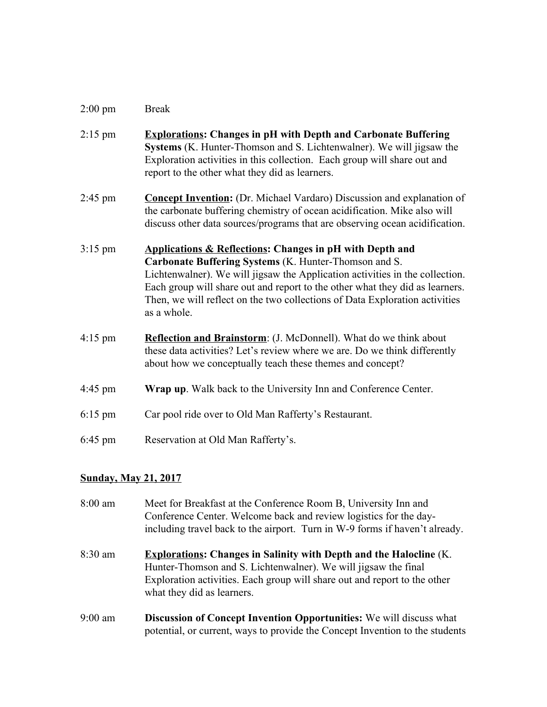#### 2:00 pm Break

- 2:15 pm **Explorations: Changes in pH with Depth and Carbonate Buffering Systems** (K. Hunter-Thomson and S. Lichtenwalner). We will jigsaw the Exploration activities in this collection. Each group will share out and report to the other what they did as learners.
- 2:45 pm **Concept Invention:** (Dr. Michael Vardaro) Discussion and explanation of the carbonate buffering chemistry of ocean acidification. Mike also will discuss other data sources/programs that are observing ocean acidification.
- 3:15 pm **Applications & Reflections: Changes in pH with Depth and Carbonate Buffering Systems** (K. Hunter-Thomson and S. Lichtenwalner). We will jigsaw the Application activities in the collection. Each group will share out and report to the other what they did as learners. Then, we will reflect on the two collections of Data Exploration activities as a whole.
- 4:15 pm **Reflection and Brainstorm**: (J. McDonnell). What do we think about these data activities? Let's review where we are. Do we think differently about how we conceptually teach these themes and concept?
- 4:45 pm **Wrap up**. Walk back to the University Inn and Conference Center.
- 6:15 pm Car pool ride over to Old Man Rafferty's Restaurant.
- 6:45 pm Reservation at Old Man Rafferty's.

### **Sunday, May 21, 2017**

8:00 am Meet for Breakfast at the Conference Room B, University Inn and Conference Center. Welcome back and review logistics for the dayincluding travel back to the airport. Turn in W-9 forms if haven't already. 8:30 am **Explorations: Changes in Salinity with Depth and the Halocline** (K. Hunter-Thomson and S. Lichtenwalner). We will jigsaw the final Exploration activities. Each group will share out and report to the other what they did as learners. 9:00 am **Discussion of Concept Invention Opportunities:** We will discuss what potential, or current, ways to provide the Concept Invention to the students